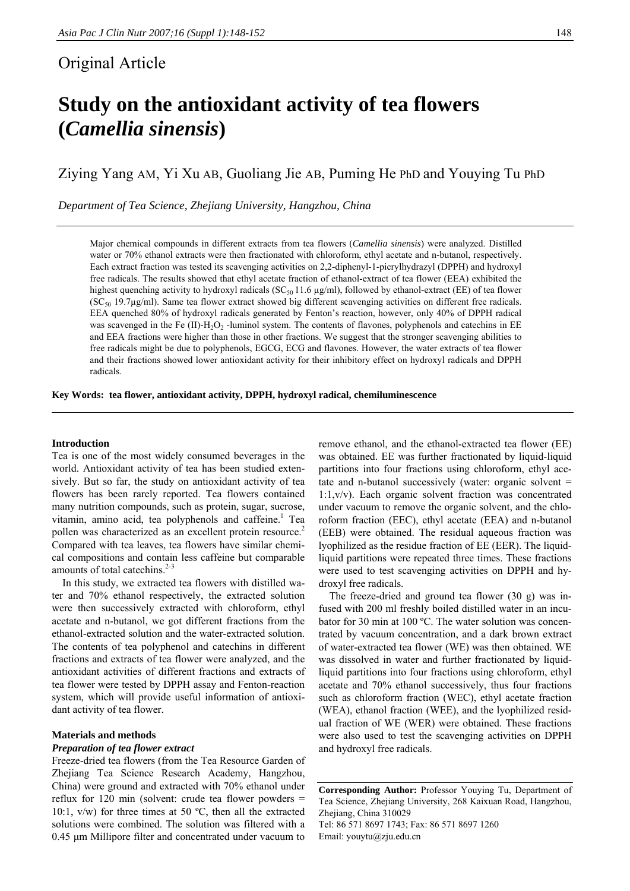# Original Article

# **Study on the antioxidant activity of tea flowers (***Camellia sinensis***)**

Ziying Yang AM, Yi Xu AB, Guoliang Jie AB, Puming He PhD and Youying Tu PhD

*Department of Tea Science, Zhejiang University, Hangzhou, China* 

Major chemical compounds in different extracts from tea flowers (*Camellia sinensis*) were analyzed. Distilled water or 70% ethanol extracts were then fractionated with chloroform, ethyl acetate and n-butanol, respectively. Each extract fraction was tested its scavenging activities on 2,2-diphenyl-1-picrylhydrazyl (DPPH) and hydroxyl free radicals. The results showed that ethyl acetate fraction of ethanol-extract of tea flower (EEA) exhibited the highest quenching activity to hydroxyl radicals ( $SC_{50}$  11.6  $\mu$ g/ml), followed by ethanol-extract (EE) of tea flower  $(SC_{50} 19.7\mu g/ml)$ . Same tea flower extract showed big different scavenging activities on different free radicals. EEA quenched 80% of hydroxyl radicals generated by Fenton's reaction, however, only 40% of DPPH radical was scavenged in the Fe  $(II)$ -H<sub>2</sub>O<sub>2</sub> -luminol system. The contents of flavones, polyphenols and catechins in EE and EEA fractions were higher than those in other fractions. We suggest that the stronger scavenging abilities to free radicals might be due to polyphenols, EGCG, ECG and flavones. However, the water extracts of tea flower and their fractions showed lower antioxidant activity for their inhibitory effect on hydroxyl radicals and DPPH radicals.

**Key Words: tea flower, antioxidant activity, DPPH, hydroxyl radical, chemiluminescence** 

# **Introduction**

Tea is one of the most widely consumed beverages in the world. Antioxidant activity of tea has been studied extensively. But so far, the study on antioxidant activity of tea flowers has been rarely reported. Tea flowers contained many nutrition compounds, such as protein, sugar, sucrose, vitamin, amino acid, tea polyphenols and caffeine.<sup>1</sup> Tea pollen was characterized as an excellent protein resource.<sup>2</sup> Compared with tea leaves, tea flowers have similar chemical compositions and contain less caffeine but comparable amounts of total catechins.<sup>2-3</sup>

In this study, we extracted tea flowers with distilled water and 70% ethanol respectively, the extracted solution were then successively extracted with chloroform, ethyl acetate and n-butanol, we got different fractions from the ethanol-extracted solution and the water-extracted solution. The contents of tea polyphenol and catechins in different fractions and extracts of tea flower were analyzed, and the antioxidant activities of different fractions and extracts of tea flower were tested by DPPH assay and Fenton-reaction system, which will provide useful information of antioxidant activity of tea flower.

# **Materials and methods**

# *Preparation of tea flower extract*

Freeze-dried tea flowers (from the Tea Resource Garden of Zhejiang Tea Science Research Academy, Hangzhou, China) were ground and extracted with 70% ethanol under reflux for 120 min (solvent: crude tea flower powders  $=$ 10:1,  $v/w$ ) for three times at 50 °C, then all the extracted solutions were combined. The solution was filtered with a 0.45 μm Millipore filter and concentrated under vacuum to

remove ethanol, and the ethanol-extracted tea flower (EE) was obtained. EE was further fractionated by liquid-liquid partitions into four fractions using chloroform, ethyl acetate and n-butanol successively (water: organic solvent = 1:1,v/v). Each organic solvent fraction was concentrated under vacuum to remove the organic solvent, and the chloroform fraction (EEC), ethyl acetate (EEA) and n-butanol (EEB) were obtained. The residual aqueous fraction was lyophilized as the residue fraction of EE (EER). The liquidliquid partitions were repeated three times. These fractions were used to test scavenging activities on DPPH and hydroxyl free radicals.

The freeze-dried and ground tea flower (30 g) was infused with 200 ml freshly boiled distilled water in an incubator for 30 min at 100 ºC. The water solution was concentrated by vacuum concentration, and a dark brown extract of water-extracted tea flower (WE) was then obtained. WE was dissolved in water and further fractionated by liquidliquid partitions into four fractions using chloroform, ethyl acetate and 70% ethanol successively, thus four fractions such as chloroform fraction (WEC), ethyl acetate fraction (WEA), ethanol fraction (WEE), and the lyophilized residual fraction of WE (WER) were obtained. These fractions were also used to test the scavenging activities on DPPH and hydroxyl free radicals.

**Corresponding Author:** Professor Youying Tu, Department of Tea Science, Zhejiang University, 268 Kaixuan Road, Hangzhou, Zhejiang, China 310029 Tel: 86 571 8697 1743; Fax: 86 571 8697 1260 Email: youytu@zju.edu.cn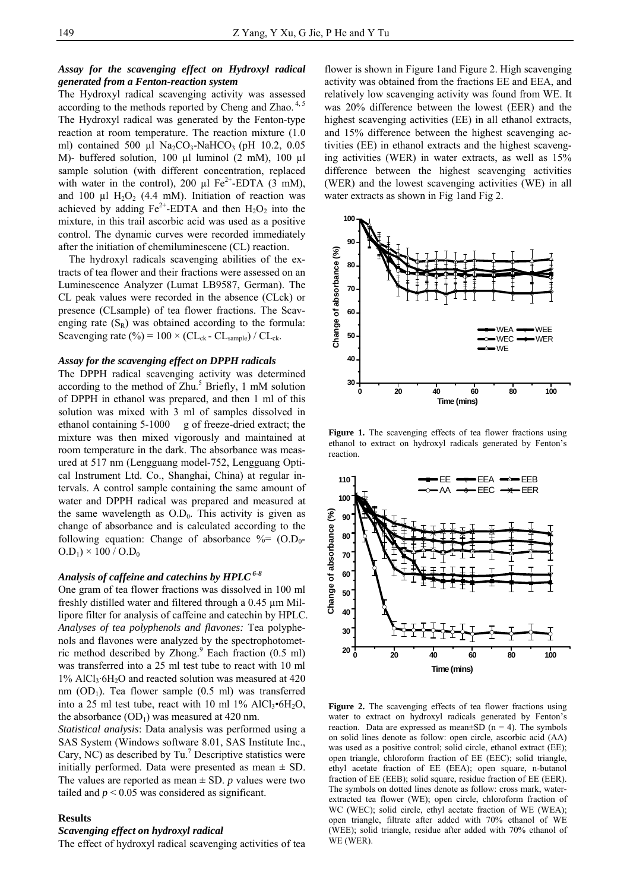# *Assay for the scavenging effect on Hydroxyl radical generated from a Fenton-reaction system*

The Hydroxyl radical scavenging activity was assessed according to the methods reported by Cheng and Zhao.<sup>4,5</sup> The Hydroxyl radical was generated by the Fenton-type reaction at room temperature. The reaction mixture (1.0 ml) contained 500 µl Na<sub>2</sub>CO<sub>3</sub>-NaHCO<sub>3</sub> (pH 10.2, 0.05) M)- buffered solution, 100 µl luminol (2 mM), 100 µl sample solution (with different concentration, replaced with water in the control), 200  $\mu$ l Fe<sup>2+</sup>-EDTA (3 mM), and 100  $\mu$ l H<sub>2</sub>O<sub>2</sub> (4.4 mM). Initiation of reaction was achieved by adding  $Fe^{2+}$ -EDTA and then  $H_2O_2$  into the mixture, in this trail ascorbic acid was used as a positive control. The dynamic curves were recorded immediately after the initiation of chemiluminescene (CL) reaction.

The hydroxyl radicals scavenging abilities of the extracts of tea flower and their fractions were assessed on an Luminescence Analyzer (Lumat LB9587, German). The CL peak values were recorded in the absence (CLck) or presence (CLsample) of tea flower fractions. The Scavenging rate  $(S_R)$  was obtained according to the formula: Scavenging rate (%) =  $100 \times (CL_{ck} - CL_{sample}) / CL_{ck}$ .

#### *Assay for the scavenging effect on DPPH radicals*

The DPPH radical scavenging activity was determined according to the method of  $Zhu$ .<sup>5</sup> Briefly, 1 mM solution of DPPH in ethanol was prepared, and then 1 ml of this solution was mixed with 3 ml of samples dissolved in ethanol containing 5-1000 g of freeze-dried extract; the mixture was then mixed vigorously and maintained at room temperature in the dark. The absorbance was measured at 517 nm (Lengguang model-752, Lengguang Optical Instrument Ltd. Co., Shanghai, China) at regular intervals. A control sample containing the same amount of water and DPPH radical was prepared and measured at the same wavelength as  $O.D_0$ . This activity is given as change of absorbance and is calculated according to the following equation: Change of absorbance  $\% = (O.D_0 O.D<sub>1</sub>$ ) × 100 /  $O.D<sub>0</sub>$ 

# *Analysis of caffeine and catechins by HPLC 6-8*

One gram of tea flower fractions was dissolved in 100 ml freshly distilled water and filtered through a 0.45 µm Millipore filter for analysis of caffeine and catechin by HPLC. *Analyses of tea polyphenols and flavones:* Tea polyphenols and flavones were analyzed by the spectrophotometric method described by Zhong. $9$  Each fraction (0.5 ml) was transferred into a 25 ml test tube to react with 10 ml  $1\%$  AlCl<sub>3</sub>·6H<sub>2</sub>O and reacted solution was measured at 420 nm  $(OD<sub>1</sub>)$ . Tea flower sample  $(0.5 \text{ ml})$  was transferred into a 25 ml test tube, react with 10 ml 1% AlCl<sub>3</sub> $\cdot$ 6H<sub>2</sub>O, the absorbance  $(OD<sub>1</sub>)$  was measured at 420 nm.

*Statistical analysis*: Data analysis was performed using a SAS System (Windows software 8.01, SAS Institute Inc., Cary, NC) as described by  $Tu^7$  Descriptive statistics were initially performed. Data were presented as mean  $\pm$  SD. The values are reported as mean  $\pm$  SD. *p* values were two tailed and  $p < 0.05$  was considered as significant.

#### **Results**

# *Scavenging effect on hydroxyl radical*

The effect of hydroxyl radical scavenging activities of tea

flower is shown in Figure 1and Figure 2. High scavenging activity was obtained from the fractions EE and EEA, and relatively low scavenging activity was found from WE. It was 20% difference between the lowest (EER) and the highest scavenging activities (EE) in all ethanol extracts, and 15% difference between the highest scavenging activities (EE) in ethanol extracts and the highest scavenging activities (WER) in water extracts, as well as 15% difference between the highest scavenging activities (WER) and the lowest scavenging activities (WE) in all water extracts as shown in Fig 1and Fig 2.



Figure 1. The scavenging effects of tea flower fractions using ethanol to extract on hydroxyl radicals generated by Fenton's reaction.



Figure 2. The scavenging effects of tea flower fractions using water to extract on hydroxyl radicals generated by Fenton's reaction. Data are expressed as mean $\pm$ SD (n = 4). The symbols on solid lines denote as follow: open circle, ascorbic acid (AA) was used as a positive control; solid circle, ethanol extract (EE); open triangle, chloroform fraction of EE (EEC); solid triangle, ethyl acetate fraction of EE (EEA); open square, n-butanol fraction of EE (EEB); solid square, residue fraction of EE (EER). The symbols on dotted lines denote as follow: cross mark, waterextracted tea flower (WE); open circle, chloroform fraction of WC (WEC); solid circle, ethyl acetate fraction of WE (WEA); open triangle, filtrate after added with 70% ethanol of WE (WEE); solid triangle, residue after added with 70% ethanol of WE (WER).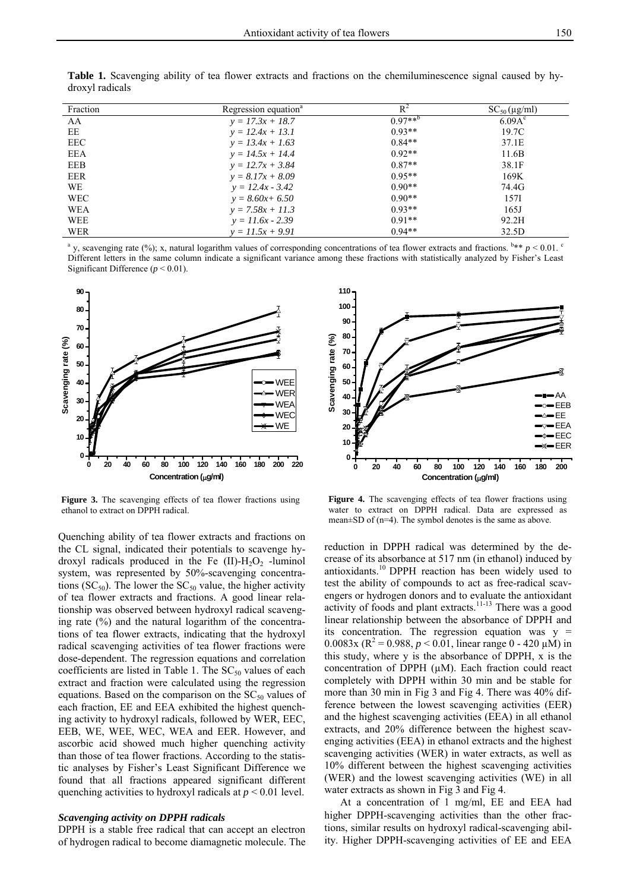| Fraction   | Regression equation <sup>a</sup> | $R^2$       | $SC_{50}(\mu g/ml)$ |
|------------|----------------------------------|-------------|---------------------|
| AA         | $y = 17.3x + 18.7$               | $0.97***^b$ | 6.09A <sup>c</sup>  |
| EE         | $y = 12.4x + 13.1$               | $0.93**$    | 19.7C               |
| <b>EEC</b> | $y = 13.4x + 1.63$               | $0.84**$    | 37.1E               |
| EEA        | $y = 14.5x + 14.4$               | $0.92**$    | 11.6B               |
| <b>EEB</b> | $y = 12.7x + 3.84$               | $0.87**$    | 38.1F               |
| <b>EER</b> | $y = 8.17x + 8.09$               | $0.95**$    | 169K                |
| <b>WE</b>  | $y = 12.4x - 3.42$               | $0.90**$    | 74.4G               |
| WEC        | $y = 8.60x + 6.50$               | $0.90**$    | 157I                |
| WEA        | $y = 7.58x + 11.3$               | $0.93**$    | 165J                |
| <b>WEE</b> | $y = 11.6x - 2.39$               | $0.91**$    | 92.2H               |
| WER        | $y = 11.5x + 9.91$               | $0.94**$    | 32.5D               |

**Table 1.** Scavenging ability of tea flower extracts and fractions on the chemiluminescence signal caused by hydroxyl radicals

<sup>a</sup> y, scavenging rate (%); x, natural logarithm values of corresponding concentrations of tea flower extracts and fractions.  $b** p < 0.01$ . Different letters in the same column indicate a significant variance among these fractions with statistically analyzed by Fisher's Least Significant Difference (*p* < 0.01).



**Figure 3.** The scavenging effects of tea flower fractions using ethanol to extract on DPPH radical.

Quenching ability of tea flower extracts and fractions on the CL signal, indicated their potentials to scavenge hydroxyl radicals produced in the Fe  $(II)$ -H<sub>2</sub>O<sub>2</sub> -luminol system, was represented by 50%-scavenging concentrations ( $SC_{50}$ ). The lower the  $SC_{50}$  value, the higher activity of tea flower extracts and fractions. A good linear relationship was observed between hydroxyl radical scavenging rate  $(\%)$  and the natural logarithm of the concentrations of tea flower extracts, indicating that the hydroxyl radical scavenging activities of tea flower fractions were dose-dependent. The regression equations and correlation coefficients are listed in Table 1. The  $SC_{50}$  values of each extract and fraction were calculated using the regression equations. Based on the comparison on the  $SC_{50}$  values of each fraction, EE and EEA exhibited the highest quenching activity to hydroxyl radicals, followed by WER, EEC, EEB, WE, WEE, WEC, WEA and EER. However, and ascorbic acid showed much higher quenching activity than those of tea flower fractions. According to the statistic analyses by Fisher's Least Significant Difference we found that all fractions appeared significant different quenching activities to hydroxyl radicals at *p* < 0.01 level.

# *Scavenging activity on DPPH radicals*

DPPH is a stable free radical that can accept an electron of hydrogen radical to become diamagnetic molecule. The



Figure 4. The scavenging effects of tea flower fractions using water to extract on DPPH radical. Data are expressed as mean±SD of (n=4). The symbol denotes is the same as above.

reduction in DPPH radical was determined by the decrease of its absorbance at 517 nm (in ethanol) induced by antioxidants.10 DPPH reaction has been widely used to test the ability of compounds to act as free-radical scavengers or hydrogen donors and to evaluate the antioxidant activity of foods and plant extracts.11-13 There was a good linear relationship between the absorbance of DPPH and its concentration. The regression equation was  $y =$ 0.0083x ( $\mathbb{R}^2$  = 0.988,  $p < 0.01$ , linear range 0 - 420  $\mu$ M) in this study, where y is the absorbance of DPPH, x is the concentration of DPPH (µM). Each fraction could react completely with DPPH within 30 min and be stable for more than 30 min in Fig 3 and Fig 4. There was 40% difference between the lowest scavenging activities (EER) and the highest scavenging activities (EEA) in all ethanol extracts, and 20% difference between the highest scavenging activities (EEA) in ethanol extracts and the highest scavenging activities (WER) in water extracts, as well as 10% different between the highest scavenging activities (WER) and the lowest scavenging activities (WE) in all water extracts as shown in Fig 3 and Fig 4.

At a concentration of 1 mg/ml, EE and EEA had higher DPPH-scavenging activities than the other fractions, similar results on hydroxyl radical-scavenging ability. Higher DPPH-scavenging activities of EE and EEA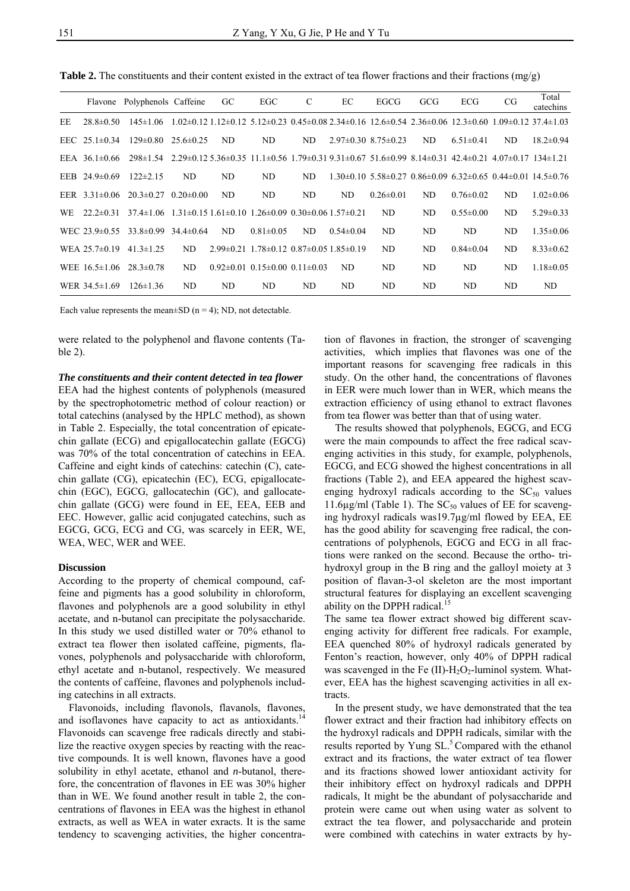Flavone Polyphenols Caffeine GC EGC C EC EGCG GCG ECG CG Total catechins EE 28.8±0.50 145±1.06 1.02±0.12 1.12±0.12 5.12±0.23 0.45±0.08 2.34±0.16 12.6±0.54 2.36±0.06 12.3±0.60 1.09±0.12 37.4±1.03 EEC 25.1±0.34 129±0.80 25.6±0.25 ND ND ND 2.97±0.30 8.75±0.23 ND 6.51±0.41 ND 18.2±0.94 EEA 36.1±0.66 298±1.54 2.29±0.12 5.36±0.35 11.1±0.56 1.79±0.31 9.31±0.67 51.6±0.99 8.14±0.31 42.4±0.21 4.07±0.17 134±1.21 EEB 24.9±0.69 122±2.15 ND ND ND ND 1.30±0.10 5.58±0.27 0.86±0.09 6.32±0.65 0.44±0.01 14.5±0.76 EER 3.31±0.06 20.3±0.27 0.20±0.00 ND ND ND ND 0.26±0.01 ND 0.76±0.02 ND 1.02±0.06 WE 22.2±0.31 37.4±1.06 1.31±0.15 1.61±0.10 1.26±0.09 0.30±0.06 1.57±0.21 ND ND 0.55±0.00 ND 5.29±0.33 WEC 23.9±0.55 33.8±0.99 34.4±0.64 ND 0.81±0.05 ND 0.54±0.04 ND ND ND ND 1.35±0.06 WEA 25.7±0.19 41.3±1.25 ND 2.99±0.21 1.78±0.12 0.87±0.05 1.85±0.19 ND ND 0.84±0.04 ND 8.33±0.62 WEE 16.5±1.06 28.3±0.78 ND 0.92±0.01 0.15±0.00 0.11±0.03 ND ND ND ND ND 1.18±0.05 WER 34.5±1.69 126±1.36 ND ND ND ND ND ND ND ND ND ND

**Table 2.** The constituents and their content existed in the extract of tea flower fractions and their fractions (mg/g)

Each value represents the mean $\pm$ SD (n = 4); ND, not detectable.

were related to the polyphenol and flavone contents (Table 2).

# *The constituents and their content detected in tea flower*

EEA had the highest contents of polyphenols (measured by the spectrophotometric method of colour reaction) or total catechins (analysed by the HPLC method), as shown in Table 2. Especially, the total concentration of epicatechin gallate (ECG) and epigallocatechin gallate (EGCG) was 70% of the total concentration of catechins in EEA. Caffeine and eight kinds of catechins: catechin (C), catechin gallate (CG), epicatechin (EC), ECG, epigallocatechin (EGC), EGCG, gallocatechin (GC), and gallocatechin gallate (GCG) were found in EE, EEA, EEB and EEC. However, gallic acid conjugated catechins, such as EGCG, GCG, ECG and CG, was scarcely in EER, WE, WEA, WEC, WER and WEE.

## **Discussion**

According to the property of chemical compound, caffeine and pigments has a good solubility in chloroform, flavones and polyphenols are a good solubility in ethyl acetate, and n-butanol can precipitate the polysaccharide. In this study we used distilled water or 70% ethanol to extract tea flower then isolated caffeine, pigments, flavones, polyphenols and polysaccharide with chloroform, ethyl acetate and n-butanol, respectively. We measured the contents of caffeine, flavones and polyphenols including catechins in all extracts.

Flavonoids, including flavonols, flavanols, flavones, and isoflavones have capacity to act as antioxidants.<sup>14</sup> Flavonoids can scavenge free radicals directly and stabilize the reactive oxygen species by reacting with the reactive compounds. It is well known, flavones have a good solubility in ethyl acetate, ethanol and *n*-butanol, therefore, the concentration of flavones in EE was 30% higher than in WE. We found another result in table 2, the concentrations of flavones in EEA was the highest in ethanol extracts, as well as WEA in water exracts. It is the same tendency to scavenging activities, the higher concentration of flavones in fraction, the stronger of scavenging activities, which implies that flavones was one of the important reasons for scavenging free radicals in this study. On the other hand, the concentrations of flavones in EER were much lower than in WER, which means the extraction efficiency of using ethanol to extract flavones from tea flower was better than that of using water.

The results showed that polyphenols, EGCG, and ECG were the main compounds to affect the free radical scavenging activities in this study, for example, polyphenols, EGCG, and ECG showed the highest concentrations in all fractions (Table 2), and EEA appeared the highest scavenging hydroxyl radicals according to the  $SC_{50}$  values 11.6µg/ml (Table 1). The  $SC_{50}$  values of EE for scavenging hydroxyl radicals was19.7µg/ml flowed by EEA, EE has the good ability for scavenging free radical, the concentrations of polyphenols, EGCG and ECG in all fractions were ranked on the second. Because the ortho- trihydroxyl group in the B ring and the galloyl moiety at 3 position of flavan-3-ol skeleton are the most important structural features for displaying an excellent scavenging ability on the DPPH radical.<sup>15</sup>

The same tea flower extract showed big different scavenging activity for different free radicals. For example, EEA quenched 80% of hydroxyl radicals generated by Fenton's reaction, however, only 40% of DPPH radical was scavenged in the Fe  $(II)$ -H<sub>2</sub>O<sub>2</sub>-luminol system. Whatever, EEA has the highest scavenging activities in all extracts.

In the present study, we have demonstrated that the tea flower extract and their fraction had inhibitory effects on the hydroxyl radicals and DPPH radicals, similar with the results reported by Yung SL.<sup>5</sup> Compared with the ethanol extract and its fractions, the water extract of tea flower and its fractions showed lower antioxidant activity for their inhibitory effect on hydroxyl radicals and DPPH radicals, It might be the abundant of polysaccharide and protein were came out when using water as solvent to extract the tea flower, and polysaccharide and protein were combined with catechins in water extracts by hy